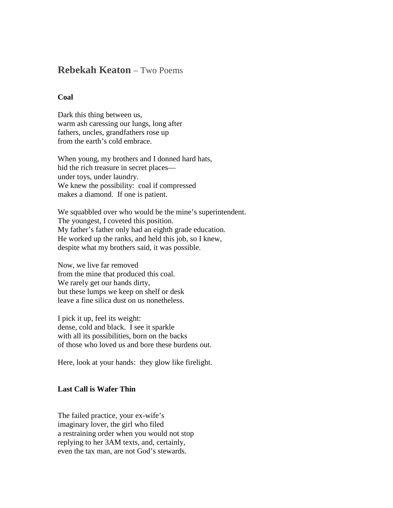## **Rebekah Keaton** – Two Poems

## **Coal**

Dark this thing between us, warm ash caressing our lungs, long after fathers, uncles, grandfathers rose up from the earth's cold embrace.

When young, my brothers and I donned hard hats, hid the rich treasure in secret places under toys, under laundry. We knew the possibility: coal if compressed makes a diamond. If one is patient.

We squabbled over who would be the mine's superintendent. The youngest, I coveted this position. My father's father only had an eighth grade education. He worked up the ranks, and held this job, so I knew, despite what my brothers said, it was possible.

Now, we live far removed from the mine that produced this coal. We rarely get our hands dirty, but these lumps we keep on shelf or desk leave a fine silica dust on us nonetheless.

I pick it up, feel its weight: dense, cold and black. I see it sparkle with all its possibilities, born on the backs of those who loved us and bore these burdens out.

Here, look at your hands: they glow like firelight.

## **Last Call is Wafer Thin**

The failed practice, your ex-wife's imaginary lover, the girl who filed a restraining order when you would not stop replying to her 3AM texts, and, certainly, even the tax man, are not God's stewards.